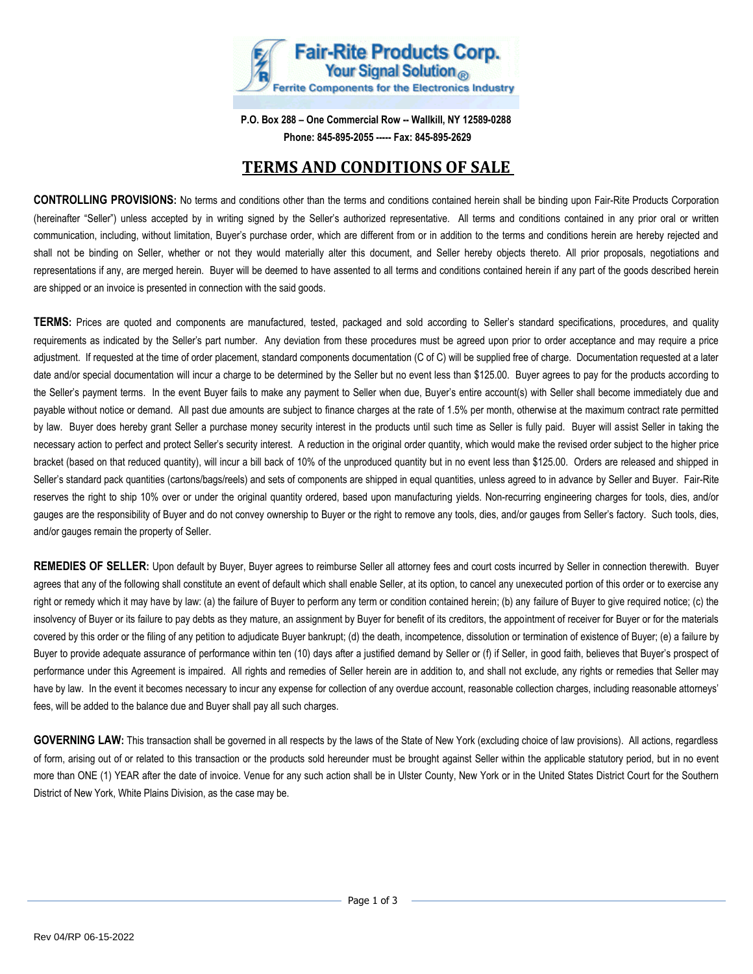

**P.O. Box 288 – One Commercial Row -- Wallkill, NY 12589-0288 Phone: 845-895-2055 ----- Fax: 845-895-2629** 

## **TERMS AND CONDITIONS OF SALE**

**CONTROLLING PROVISIONS:** No terms and conditions other than the terms and conditions contained herein shall be binding upon Fair-Rite Products Corporation (hereinafter "Seller") unless accepted by in writing signed by the Seller's authorized representative. All terms and conditions contained in any prior oral or written communication, including, without limitation, Buyer's purchase order, which are different from or in addition to the terms and conditions herein are hereby rejected and shall not be binding on Seller, whether or not they would materially alter this document, and Seller hereby objects thereto. All prior proposals, negotiations and representations if any, are merged herein. Buyer will be deemed to have assented to all terms and conditions contained herein if any part of the goods described herein are shipped or an invoice is presented in connection with the said goods.

**TERMS:** Prices are quoted and components are manufactured, tested, packaged and sold according to Seller's standard specifications, procedures, and quality requirements as indicated by the Seller's part number. Any deviation from these procedures must be agreed upon prior to order acceptance and may require a price adjustment. If requested at the time of order placement, standard components documentation (C of C) will be supplied free of charge. Documentation requested at a later date and/or special documentation will incur a charge to be determined by the Seller but no event less than \$125.00. Buyer agrees to pay for the products according to the Seller's payment terms. In the event Buyer fails to make any payment to Seller when due, Buyer's entire account(s) with Seller shall become immediately due and payable without notice or demand. All past due amounts are subject to finance charges at the rate of 1.5% per month, otherwise at the maximum contract rate permitted by law. Buyer does hereby grant Seller a purchase money security interest in the products until such time as Seller is fully paid. Buyer will assist Seller in taking the necessary action to perfect and protect Seller's security interest. A reduction in the original order quantity, which would make the revised order subject to the higher price bracket (based on that reduced quantity), will incur a bill back of 10% of the unproduced quantity but in no event less than \$125.00. Orders are released and shipped in Seller's standard pack quantities (cartons/bags/reels) and sets of components are shipped in equal quantities, unless agreed to in advance by Seller and Buyer. Fair-Rite reserves the right to ship 10% over or under the original quantity ordered, based upon manufacturing yields. Non-recurring engineering charges for tools, dies, and/or gauges are the responsibility of Buyer and do not convey ownership to Buyer or the right to remove any tools, dies, and/or gauges from Seller's factory. Such tools, dies, and/or gauges remain the property of Seller.

**REMEDIES OF SELLER:** Upon default by Buyer, Buyer agrees to reimburse Seller all attorney fees and court costs incurred by Seller in connection therewith. Buyer agrees that any of the following shall constitute an event of default which shall enable Seller, at its option, to cancel any unexecuted portion of this order or to exercise any right or remedy which it may have by law: (a) the failure of Buyer to perform any term or condition contained herein; (b) any failure of Buyer to give required notice; (c) the insolvency of Buyer or its failure to pay debts as they mature, an assignment by Buyer for benefit of its creditors, the appointment of receiver for Buyer or for the materials covered by this order or the filing of any petition to adjudicate Buyer bankrupt; (d) the death, incompetence, dissolution or termination of existence of Buyer; (e) a failure by Buyer to provide adequate assurance of performance within ten (10) days after a justified demand by Seller or (f) if Seller, in good faith, believes that Buyer's prospect of performance under this Agreement is impaired. All rights and remedies of Seller herein are in addition to, and shall not exclude, any rights or remedies that Seller may have by law. In the event it becomes necessary to incur any expense for collection of any overdue account, reasonable collection charges, including reasonable attorneys' fees, will be added to the balance due and Buyer shall pay all such charges.

**GOVERNING LAW:** This transaction shall be governed in all respects by the laws of the State of New York (excluding choice of law provisions). All actions, regardless of form, arising out of or related to this transaction or the products sold hereunder must be brought against Seller within the applicable statutory period, but in no event more than ONE (1) YEAR after the date of invoice. Venue for any such action shall be in Ulster County, New York or in the United States District Court for the Southern District of New York, White Plains Division, as the case may be.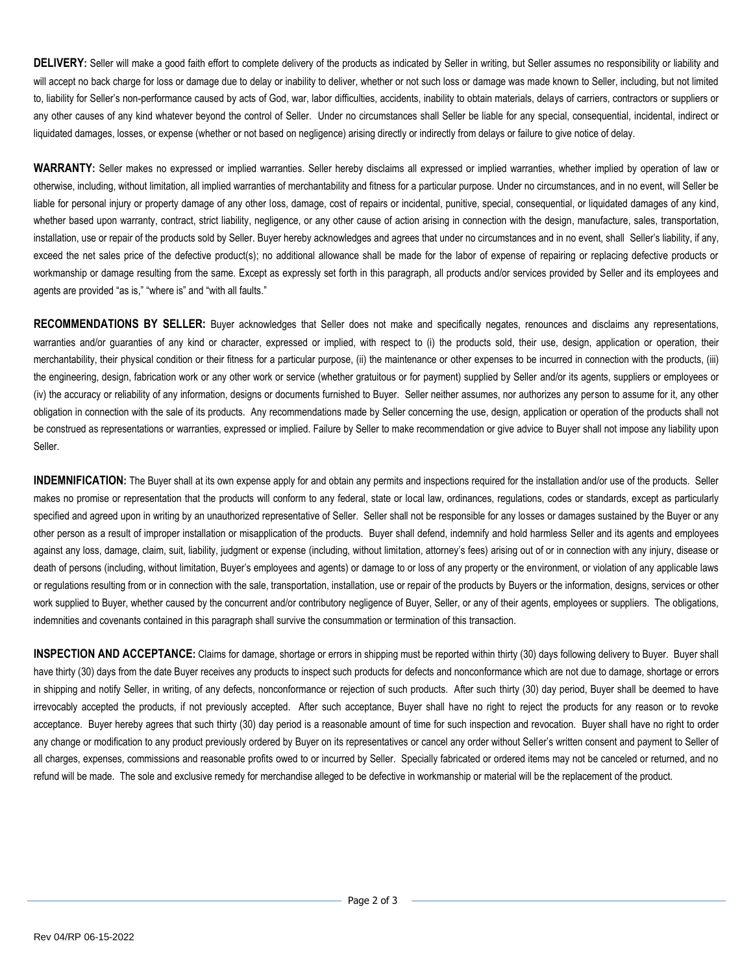**DELIVERY:** Seller will make a good faith effort to complete delivery of the products as indicated by Seller in writing, but Seller assumes no responsibility or liability and will accept no back charge for loss or damage due to delay or inability to deliver, whether or not such loss or damage was made known to Seller, including, but not limited to, liability for Seller's non-performance caused by acts of God, war, labor difficulties, accidents, inability to obtain materials, delays of carriers, contractors or suppliers or any other causes of any kind whatever beyond the control of Seller. Under no circumstances shall Seller be liable for any special, consequential, incidental, indirect or liquidated damages, losses, or expense (whether or not based on negligence) arising directly or indirectly from delays or failure to give notice of delay.

**WARRANTY:** Seller makes no expressed or implied warranties. Seller hereby disclaims all expressed or implied warranties, whether implied by operation of law or otherwise, including, without limitation, all implied warranties of merchantability and fitness for a particular purpose. Under no circumstances, and in no event, will Seller be liable for personal injury or property damage of any other loss, damage, cost of repairs or incidental, punitive, special, consequential, or liquidated damages of any kind, whether based upon warranty, contract, strict liability, negligence, or any other cause of action arising in connection with the design, manufacture, sales, transportation, installation, use or repair of the products sold by Seller. Buyer hereby acknowledges and agrees that under no circumstances and in no event, shall Seller's liability, if any, exceed the net sales price of the defective product(s); no additional allowance shall be made for the labor of expense of repairing or replacing defective products or workmanship or damage resulting from the same. Except as expressly set forth in this paragraph, all products and/or services provided by Seller and its employees and agents are provided "as is," "where is" and "with all faults."

**RECOMMENDATIONS BY SELLER:** Buyer acknowledges that Seller does not make and specifically negates, renounces and disclaims any representations, warranties and/or quaranties of any kind or character, expressed or implied, with respect to (i) the products sold, their use, design, application or operation, their merchantability, their physical condition or their fitness for a particular purpose, (ii) the maintenance or other expenses to be incurred in connection with the products, (iii) the engineering, design, fabrication work or any other work or service (whether gratuitous or for payment) supplied by Seller and/or its agents, suppliers or employees or (iv) the accuracy or reliability of any information, designs or documents furnished to Buyer. Seller neither assumes, nor authorizes any person to assume for it, any other obligation in connection with the sale of its products. Any recommendations made by Seller concerning the use, design, application or operation of the products shall not be construed as representations or warranties, expressed or implied. Failure by Seller to make recommendation or give advice to Buyer shall not impose any liability upon Seller.

**INDEMNIFICATION:** The Buyer shall at its own expense apply for and obtain any permits and inspections required for the installation and/or use of the products. Seller makes no promise or representation that the products will conform to any federal, state or local law, ordinances, regulations, codes or standards, except as particularly specified and agreed upon in writing by an unauthorized representative of Seller. Seller shall not be responsible for any losses or damages sustained by the Buyer or any other person as a result of improper installation or misapplication of the products. Buyer shall defend, indemnify and hold harmless Seller and its agents and employees against any loss, damage, claim, suit, liability, judgment or expense (including, without limitation, attorney's fees) arising out of or in connection with any injury, disease or death of persons (including, without limitation, Buyer's employees and agents) or damage to or loss of any property or the environment, or violation of any applicable laws or regulations resulting from or in connection with the sale, transportation, installation, use or repair of the products by Buyers or the information, designs, services or other work supplied to Buyer, whether caused by the concurrent and/or contributory negligence of Buyer, Seller, or any of their agents, employees or suppliers. The obligations, indemnities and covenants contained in this paragraph shall survive the consummation or termination of this transaction.

**INSPECTION AND ACCEPTANCE:** Claims for damage, shortage or errors in shipping must be reported within thirty (30) days following delivery to Buyer. Buyer shall have thirty (30) days from the date Buyer receives any products to inspect such products for defects and nonconformance which are not due to damage, shortage or errors in shipping and notify Seller, in writing, of any defects, nonconformance or rejection of such products. After such thirty (30) day period, Buyer shall be deemed to have irrevocably accepted the products, if not previously accepted. After such acceptance, Buyer shall have no right to reject the products for any reason or to revoke acceptance. Buyer hereby agrees that such thirty (30) day period is a reasonable amount of time for such inspection and revocation. Buyer shall have no right to order any change or modification to any product previously ordered by Buyer on its representatives or cancel any order without Seller's written consent and payment to Seller of all charges, expenses, commissions and reasonable profits owed to or incurred by Seller. Specially fabricated or ordered items may not be canceled or returned, and no refund will be made. The sole and exclusive remedy for merchandise alleged to be defective in workmanship or material will be the replacement of the product.